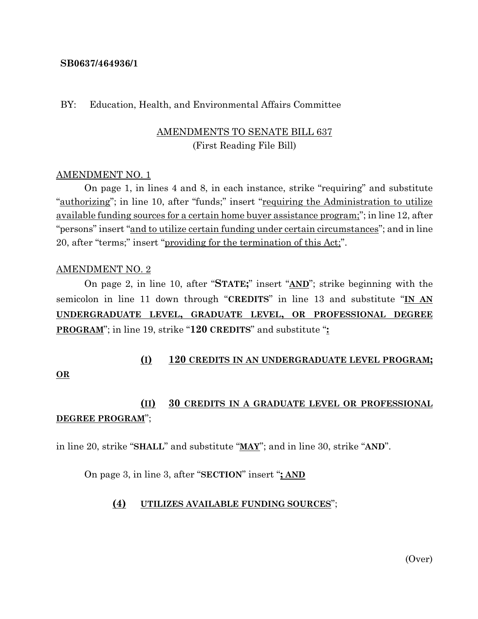#### **SB0637/464936/1**

#### BY: Education, Health, and Environmental Affairs Committee

# AMENDMENTS TO SENATE BILL 637 (First Reading File Bill)

#### AMENDMENT NO. 1

On page 1, in lines 4 and 8, in each instance, strike "requiring" and substitute "authorizing"; in line 10, after "funds;" insert "requiring the Administration to utilize available funding sources for a certain home buyer assistance program;"; in line 12, after "persons" insert "and to utilize certain funding under certain circumstances"; and in line 20, after "terms;" insert "providing for the termination of this Act;".

#### AMENDMENT NO. 2

On page 2, in line 10, after "**STATE;**" insert "**AND**"; strike beginning with the semicolon in line 11 down through "**CREDITS**" in line 13 and substitute "**IN AN UNDERGRADUATE LEVEL, GRADUATE LEVEL, OR PROFESSIONAL DEGREE PROGRAM**"; in line 19, strike "**120 CREDITS**" and substitute "**:**

# **(I) 120 CREDITS IN AN UNDERGRADUATE LEVEL PROGRAM;**

### **OR**

# **(II) 30 CREDITS IN A GRADUATE LEVEL OR PROFESSIONAL DEGREE PROGRAM**";

in line 20, strike "**SHALL**" and substitute "**MAY**"; and in line 30, strike "**AND**".

On page 3, in line 3, after "**SECTION**" insert "**; AND**

# **(4) UTILIZES AVAILABLE FUNDING SOURCES**";